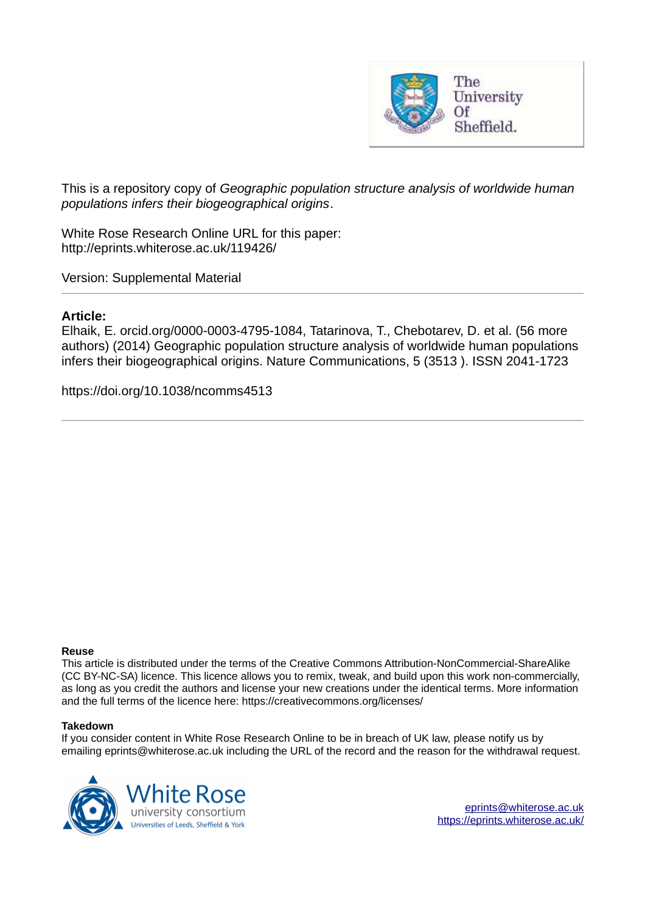

This is a repository copy of *Geographic population structure analysis of worldwide human populations infers their biogeographical origins*.

White Rose Research Online URL for this paper: http://eprints.whiterose.ac.uk/119426/

Version: Supplemental Material

## **Article:**

Elhaik, E. orcid.org/0000-0003-4795-1084, Tatarinova, T., Chebotarev, D. et al. (56 more authors) (2014) Geographic population structure analysis of worldwide human populations infers their biogeographical origins. Nature Communications, 5 (3513 ). ISSN 2041-1723

https://doi.org/10.1038/ncomms4513

## **Reuse**

This article is distributed under the terms of the Creative Commons Attribution-NonCommercial-ShareAlike (CC BY-NC-SA) licence. This licence allows you to remix, tweak, and build upon this work non-commercially, as long as you credit the authors and license your new creations under the identical terms. More information and the full terms of the licence here: https://creativecommons.org/licenses/

## **Takedown**

If you consider content in White Rose Research Online to be in breach of UK law, please notify us by emailing eprints@whiterose.ac.uk including the URL of the record and the reason for the withdrawal request.



[eprints@whiterose.ac.uk](mailto:eprints@whiterose.ac.uk) <https://eprints.whiterose.ac.uk/>